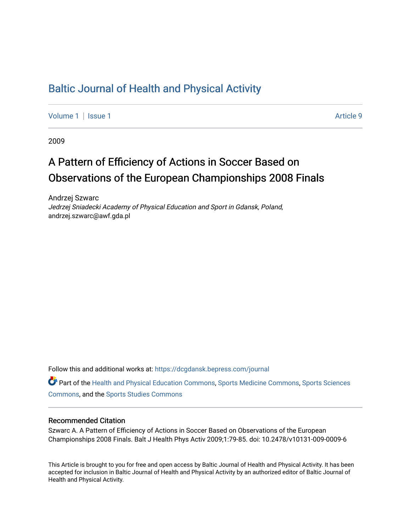## [Baltic Journal of Health and Physical Activity](https://dcgdansk.bepress.com/journal)

[Volume 1](https://dcgdansk.bepress.com/journal/vol1) | [Issue 1](https://dcgdansk.bepress.com/journal/vol1/iss1) Article 9

2009

# A Pattern of Efficiency of Actions in Soccer Based on Observations of the European Championships 2008 Finals

Andrzej Szwarc Jedrzej Sniadecki Academy of Physical Education and Sport in Gdansk, Poland, andrzej.szwarc@awf.gda.pl

Follow this and additional works at: [https://dcgdansk.bepress.com/journal](https://dcgdansk.bepress.com/journal?utm_source=dcgdansk.bepress.com%2Fjournal%2Fvol1%2Fiss1%2F9&utm_medium=PDF&utm_campaign=PDFCoverPages)

Part of the [Health and Physical Education Commons](http://network.bepress.com/hgg/discipline/1327?utm_source=dcgdansk.bepress.com%2Fjournal%2Fvol1%2Fiss1%2F9&utm_medium=PDF&utm_campaign=PDFCoverPages), [Sports Medicine Commons,](http://network.bepress.com/hgg/discipline/1331?utm_source=dcgdansk.bepress.com%2Fjournal%2Fvol1%2Fiss1%2F9&utm_medium=PDF&utm_campaign=PDFCoverPages) [Sports Sciences](http://network.bepress.com/hgg/discipline/759?utm_source=dcgdansk.bepress.com%2Fjournal%2Fvol1%2Fiss1%2F9&utm_medium=PDF&utm_campaign=PDFCoverPages) [Commons](http://network.bepress.com/hgg/discipline/759?utm_source=dcgdansk.bepress.com%2Fjournal%2Fvol1%2Fiss1%2F9&utm_medium=PDF&utm_campaign=PDFCoverPages), and the [Sports Studies Commons](http://network.bepress.com/hgg/discipline/1198?utm_source=dcgdansk.bepress.com%2Fjournal%2Fvol1%2Fiss1%2F9&utm_medium=PDF&utm_campaign=PDFCoverPages) 

#### Recommended Citation

Szwarc A. A Pattern of Efficiency of Actions in Soccer Based on Observations of the European Championships 2008 Finals. Balt J Health Phys Activ 2009;1:79-85. doi: 10.2478/v10131-009-0009-6

This Article is brought to you for free and open access by Baltic Journal of Health and Physical Activity. It has been accepted for inclusion in Baltic Journal of Health and Physical Activity by an authorized editor of Baltic Journal of Health and Physical Activity.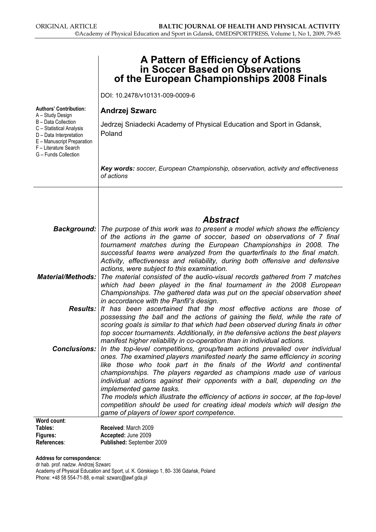|                                                                                                                                                           | A Pattern of Efficiency of Actions<br>in Soccer Based on Observations<br>of the European Championships 2008 Finals                                                                                                                                                                                                                                                                                               |
|-----------------------------------------------------------------------------------------------------------------------------------------------------------|------------------------------------------------------------------------------------------------------------------------------------------------------------------------------------------------------------------------------------------------------------------------------------------------------------------------------------------------------------------------------------------------------------------|
|                                                                                                                                                           | DOI: 10.2478/v10131-009-0009-6                                                                                                                                                                                                                                                                                                                                                                                   |
| <b>Authors' Contribution:</b><br>A - Study Design                                                                                                         | <b>Andrzej Szwarc</b>                                                                                                                                                                                                                                                                                                                                                                                            |
| B - Data Collection<br>C - Statistical Analysis<br>D - Data Interpretation<br>E - Manuscript Preparation<br>F - Literature Search<br>G - Funds Collection | Jedrzej Sniadecki Academy of Physical Education and Sport in Gdansk,<br>Poland                                                                                                                                                                                                                                                                                                                                   |
|                                                                                                                                                           | Key words: soccer, European Championship, observation, activity and effectiveness<br>of actions                                                                                                                                                                                                                                                                                                                  |
|                                                                                                                                                           |                                                                                                                                                                                                                                                                                                                                                                                                                  |
|                                                                                                                                                           | <b>Abstract</b>                                                                                                                                                                                                                                                                                                                                                                                                  |
|                                                                                                                                                           | <b>Background:</b> The purpose of this work was to present a model which shows the efficiency<br>of the actions in the game of soccer, based on observations of 7 final<br>tournament matches during the European Championships in 2008. The<br>successful teams were analyzed from the quarterfinals to the final match.<br>Activity, effectiveness and reliability, during both offensive and defensive        |
|                                                                                                                                                           | actions, were subject to this examination.<br><b>Material/Methods:</b> The material consisted of the audio-visual records gathered from 7 matches<br>which had been played in the final tournament in the 2008 European<br>Championships. The gathered data was put on the special observation sheet<br>in accordance with the Panfil's design.                                                                  |
|                                                                                                                                                           | Results: It has been ascertained that the most effective actions are those of<br>possessing the ball and the actions of gaining the field, while the rate of<br>scoring goals is similar to that which had been observed during finals in other<br>top soccer tournaments. Additionally, in the defensive actions the best players<br>manifest higher reliability in co-operation than in individual actions.    |
| <b>Conclusions:</b>                                                                                                                                       | In the top-level competitions, group/team actions prevailed over individual<br>ones. The examined players manifested nearly the same efficiency in scoring<br>like those who took part in the finals of the World and continental<br>championships. The players regarded as champions made use of various<br>individual actions against their opponents with a ball, depending on the<br>implemented game tasks. |
|                                                                                                                                                           | The models which illustrate the efficiency of actions in soccer, at the top-level<br>competition should be used for creating ideal models which will design the<br>game of players of lower sport competence.                                                                                                                                                                                                    |
| Word count:                                                                                                                                               |                                                                                                                                                                                                                                                                                                                                                                                                                  |
| Tables:                                                                                                                                                   | Received: March 2009                                                                                                                                                                                                                                                                                                                                                                                             |
| Figures:                                                                                                                                                  | Accepted: June 2009                                                                                                                                                                                                                                                                                                                                                                                              |
| References:                                                                                                                                               | Published: September 2009                                                                                                                                                                                                                                                                                                                                                                                        |

#### Address for correspondence:

dr hab. prof. nadzw. Andrzej Szwarc Academy of Physical Education and Sport, ul. K. Górskiego 1, 80- 336 Gdańsk, Poland Phone: +48 58 554-71-88, e-mail: szwarc@awf.gda.pl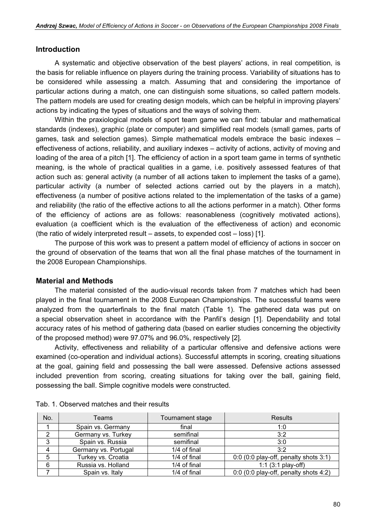#### Introduction

A systematic and objective observation of the best players' actions, in real competition, is the basis for reliable influence on players during the training process. Variability of situations has to be considered while assessing a match. Assuming that and considering the importance of particular actions during a match, one can distinguish some situations, so called pattern models. The pattern models are used for creating design models, which can be helpful in improving players' actions by indicating the types of situations and the ways of solving them.

Within the praxiological models of sport team game we can find: tabular and mathematical standards (indexes), graphic (plate or computer) and simplified real models (small games, parts of games, task and selection games). Simple mathematical models embrace the basic indexes – effectiveness of actions, reliability, and auxiliary indexes – activity of actions, activity of moving and loading of the area of a pitch [1]. The efficiency of action in a sport team game in terms of synthetic meaning, is the whole of practical qualities in a game, i.e. positively assessed features of that action such as: general activity (a number of all actions taken to implement the tasks of a game), particular activity (a number of selected actions carried out by the players in a match), effectiveness (a number of positive actions related to the implementation of the tasks of a game) and reliability (the ratio of the effective actions to all the actions performer in a match). Other forms of the efficiency of actions are as follows: reasonableness (cognitively motivated actions), evaluation (a coefficient which is the evaluation of the effectiveness of action) and economic (the ratio of widely interpreted result – assets, to expended cost – loss) [1].

The purpose of this work was to present a pattern model of efficiency of actions in soccer on the ground of observation of the teams that won all the final phase matches of the tournament in the 2008 European Championships.

#### Material and Methods

The material consisted of the audio-visual records taken from 7 matches which had been played in the final tournament in the 2008 European Championships. The successful teams were analyzed from the quarterfinals to the final match (Table 1). The gathered data was put on a special observation sheet in accordance with the Panfil's design [1]. Dependability and total accuracy rates of his method of gathering data (based on earlier studies concerning the objectivity of the proposed method) were 97.07% and 96.0%, respectively [2].

Activity, effectiveness and reliability of a particular offensive and defensive actions were examined (co-operation and individual actions). Successful attempts in scoring, creating situations at the goal, gaining field and possessing the ball were assessed. Defensive actions assessed included prevention from scoring, creating situations for taking over the ball, gaining field, possessing the ball. Simple cognitive models were constructed.

| No. | Teams                | Tournament stage | <b>Results</b>                          |
|-----|----------------------|------------------|-----------------------------------------|
|     | Spain vs. Germany    | final            | 1:0                                     |
| ◠   | Germany vs. Turkey   | semifinal        | 3:2                                     |
| 3   | Spain vs. Russia     | semifinal        | 3:0                                     |
| Δ   | Germany vs. Portugal | 1/4 of final     | 3:2                                     |
| 5   | Turkey vs. Croatia   | 1/4 of final     | 0:0 (0:0 play-off, penalty shots 3:1)   |
| 6   | Russia vs. Holland   | 1/4 of final     | 1:1 $(3:1$ play-off)                    |
|     | Spain vs. Italy      | 1/4 of final     | $0:0$ (0:0 play-off, penalty shots 4:2) |

|  |  | Tab. 1. Observed matches and their results |  |  |  |  |
|--|--|--------------------------------------------|--|--|--|--|
|--|--|--------------------------------------------|--|--|--|--|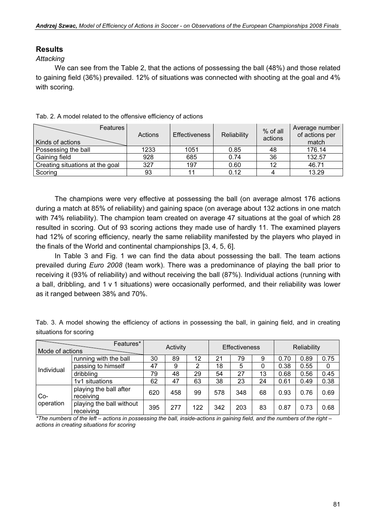### Results

#### **Attacking**

We can see from the Table 2, that the actions of possessing the ball (48%) and those related to gaining field (36%) prevailed. 12% of situations was connected with shooting at the goal and 4% with scoring.

| <b>Features</b><br>Kinds of actions | Actions | Effectiveness | Reliability | % of all<br>actions | Average number<br>of actions per<br>match |
|-------------------------------------|---------|---------------|-------------|---------------------|-------------------------------------------|
| Possessing the ball                 | 1233    | 1051          | 0.85        | 48                  | 176.14                                    |
| Gaining field                       | 928     | 685           | 0.74        | 36                  | 132.57                                    |
| Creating situations at the goal     | 327     | 197           | 0.60        | 12                  | 46.71                                     |
| Scoring                             | 93      |               | 0.12        |                     | 13.29                                     |

Tab. 2. A model related to the offensive efficiency of actions

The champions were very effective at possessing the ball (on average almost 176 actions during a match at 85% of reliability) and gaining space (on average about 132 actions in one match with 74% reliability). The champion team created on average 47 situations at the goal of which 28 resulted in scoring. Out of 93 scoring actions they made use of hardly 11. The examined players had 12% of scoring efficiency, nearly the same reliability manifested by the players who played in the finals of the World and continental championships [3, 4, 5, 6].

In Table 3 and Fig. 1 we can find the data about possessing the ball. The team actions prevailed during Euro 2008 (team work). There was a predominance of playing the ball prior to receiving it (93% of reliability) and without receiving the ball (87%). Individual actions (running with a ball, dribbling, and 1 v 1 situations) were occasionally performed, and their reliability was lower as it ranged between 38% and 70%.

Tab. 3. A model showing the efficiency of actions in possessing the ball, in gaining field, and in creating situations for scoring

| Mode of actions | Features*                             |     | Activity |     | <b>Effectiveness</b> |     |    | Reliability |      |      |
|-----------------|---------------------------------------|-----|----------|-----|----------------------|-----|----|-------------|------|------|
|                 | running with the ball                 | 30  | 89       | 12  | 21                   | 79  | 9  | 0.70        | 0.89 | 0.75 |
| Individual      | passing to himself                    | 47  | 9        | 2   | 18                   | 5   |    | 0.38        | 0.55 | 0    |
|                 | dribbling                             | 79  | 48       | 29  | 54                   | 27  | 13 | 0.68        | 0.56 | 0.45 |
|                 | 1v1 situations                        | 62  | 47       | 63  | 38                   | 23  | 24 | 0.61        | 0.49 | 0.38 |
| Co-             | playing the ball after<br>receiving   | 620 | 458      | 99  | 578                  | 348 | 68 | 0.93        | 0.76 | 0.69 |
| operation       | playing the ball without<br>receiving | 395 | 277      | 122 | 342                  | 203 | 83 | 0.87        | 0.73 | 0.68 |

\*The numbers of the left – actions in possessing the ball, inside-actions in gaining field, and the numbers of the right – actions in creating situations for scoring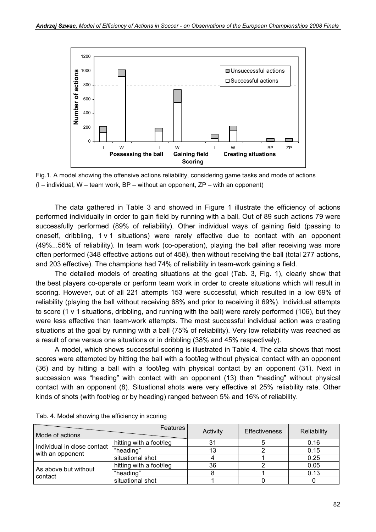

Fig.1. A model showing the offensive actions reliability, considering game tasks and mode of actions  $(I -$  individual, W – team work, BP – without an opponent, ZP – with an opponent)

The data gathered in Table 3 and showed in Figure 1 illustrate the efficiency of actions performed individually in order to gain field by running with a ball. Out of 89 such actions 79 were successfully performed (89% of reliability). Other individual ways of gaining field (passing to oneself, dribbling, 1 v 1 situations) were rarely effective due to contact with an opponent (49%...56% of reliability). In team work (co-operation), playing the ball after receiving was more often performed (348 effective actions out of 458), then without receiving the ball (total 277 actions, and 203 effective). The champions had 74% of reliability in team-work gaining a field.

The detailed models of creating situations at the goal (Tab. 3, Fig. 1), clearly show that the best players co-operate or perform team work in order to create situations which will result in scoring. However, out of all 221 attempts 153 were successful, which resulted in a low 69% of reliability (playing the ball without receiving 68% and prior to receiving it 69%). Individual attempts to score (1 v 1 situations, dribbling, and running with the ball) were rarely performed (106), but they were less effective than team-work attempts. The most successful individual action was creating situations at the goal by running with a ball (75% of reliability). Very low reliability was reached as a result of one versus one situations or in dribbling (38% and 45% respectively).

A model, which shows successful scoring is illustrated in Table 4. The data shows that most scores were attempted by hitting the ball with a foot/leg without physical contact with an opponent (36) and by hitting a ball with a foot/leg with physical contact by an opponent (31). Next in succession was "heading" with contact with an opponent (13) then "heading" without physical contact with an opponent (8). Situational shots were very effective at 25% reliability rate. Other kinds of shots (with foot/leg or by heading) ranged between 5% and 16% of reliability.

| Mode of actions             | <b>Features</b>         | Activity | <b>Effectiveness</b> | Reliability |
|-----------------------------|-------------------------|----------|----------------------|-------------|
| Individual in close contact | hitting with a foot/leg |          |                      | 0.16        |
| with an opponent            | "heading"               |          |                      | 0.15        |
|                             | situational shot        |          |                      | 0.25        |
| As above but without        | hitting with a foot/leg | 36       |                      | 0.05        |
| contact                     | "heading"               |          | 0.13                 |             |
|                             | situational shot        |          |                      |             |

Tab. 4. Model showing the efficiency in scoring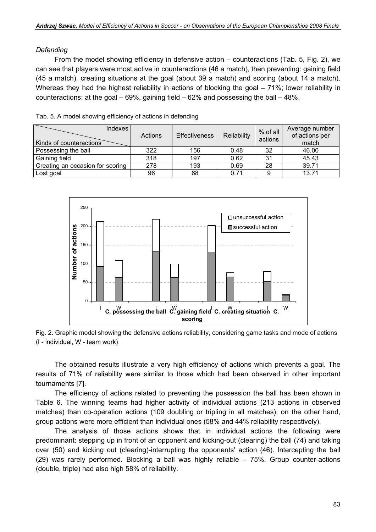#### Defending

From the model showing efficiency in defensive action – counteractions (Tab. 5, Fig. 2), we can see that players were most active in counteractions (46 a match), then preventing: gaining field (45 a match), creating situations at the goal (about 39 a match) and scoring (about 14 a match). Whereas they had the highest reliability in actions of blocking the goal – 71%; lower reliability in counteractions: at the goal  $-69%$ , gaining field  $-62%$  and possessing the ball  $-48%$ .

| Indexes<br>Kinds of counteractions | Actions | <b>Effectiveness</b> | Reliability | % of all<br>actions | Average number<br>of actions per<br>match |
|------------------------------------|---------|----------------------|-------------|---------------------|-------------------------------------------|
| Possessing the ball                | 322     | 156                  | 0.48        | 32                  | 46.00                                     |
| Gaining field                      | 318     | 197                  | 0.62        | 31                  | 45.43                                     |
| Creating an occasion for scoring   | 278     | 193                  | 0.69        | 28                  | 39.71                                     |
| Lost goal                          | 96      | 68                   | 0.71        |                     | 13.71                                     |



Fig. 2. Graphic model showing the defensive actions reliability, considering game tasks and mode of actions (I - individual, W - team work)

The obtained results illustrate a very high efficiency of actions which prevents a goal. The results of 71% of reliability were similar to those which had been observed in other important tournaments [7].

The efficiency of actions related to preventing the possession the ball has been shown in Table 6. The winning teams had higher activity of individual actions (213 actions in observed matches) than co-operation actions (109 doubling or tripling in all matches); on the other hand, group actions were more efficient than individual ones (58% and 44% reliability respectively).

The analysis of those actions shows that in individual actions the following were predominant: stepping up in front of an opponent and kicking-out (clearing) the ball (74) and taking over (50) and kicking out (clearing)-interrupting the opponents' action (46). Intercepting the ball (29) was rarely performed. Blocking a ball was highly reliable – 75%. Group counter-actions (double, triple) had also high 58% of reliability.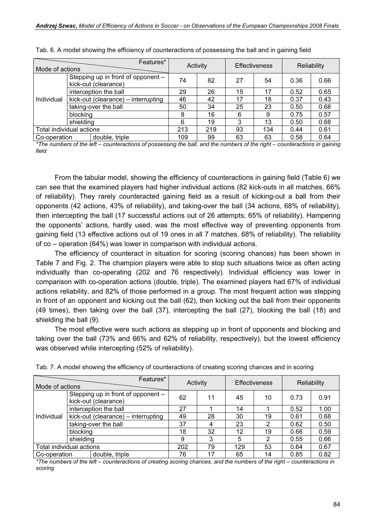| Mode of actions                                            | Features*                           |    |     | Activity |    | <b>Effectiveness</b> | Reliability |      |
|------------------------------------------------------------|-------------------------------------|----|-----|----------|----|----------------------|-------------|------|
| Stepping up in front of opponent -<br>kick-out (clearance) |                                     | 74 | 82  | 27       | 54 | 0.36                 | 0.66        |      |
|                                                            | interception the ball               |    | 29  | 26       | 15 | 17                   | 0.52        | 0.65 |
| Individual                                                 | kick-out (clearance) – interrupting |    | 46  | 42       | 17 | 18                   | 0.37        | 0.43 |
|                                                            | taking-over the ball                |    | 50  | 34       | 25 | 23                   | 0.50        | 0.68 |
|                                                            | blocking                            |    | 8   | 16       | 6  | 9                    | 0.75        | 0.57 |
| shielding                                                  |                                     |    | 6   | 19       | 3  | 13                   | 0.50        | 0.68 |
|                                                            | Total individual actions            |    | 213 | 219      | 93 | 134                  | 0.44        | 0.61 |
| Co-operation                                               | double, triple                      |    | 109 | 99       | 63 | 63                   | 0.58        | 0.64 |

Tab. 6. A model showing the efficiency of counteractions of possessing the ball and in gaining field

\*The numbers of the left – counteractions of possessing the ball, and the numbers of the right – counteractions in gaining field

From the tabular model, showing the efficiency of counteractions in gaining field (Table 6) we can see that the examined players had higher individual actions (82 kick-outs in all matches, 66% of reliability). They rarely counteracted gaining field as a result of kicking-out a ball from their opponents (42 actions, 43% of reliability), and taking-over the ball (34 actions, 68% of reliability), then intercepting the ball (17 successful actions out of 26 attempts; 65% of reliability). Hampering the opponents' actions, hardly used, was the most effective way of preventing opponents from gaining field (13 effective actions out of 19 ones in all 7 matches, 68% of reliability). The reliability of co – operation (64%) was lower in comparison with individual actions.

The efficiency of counteract in situation for scoring (scoring chances) has been shown in Table 7 and Fig. 2. The champion players were able to stop such situations twice as often acting individually than co-operating (202 and 76 respectively). Individual efficiency was lower in comparison with co-operation actions (double, triple). The examined players had 67% of individual actions reliability, and 82% of those performed in a group. The most frequent action was stepping in front of an opponent and kicking out the ball (62), then kicking out the ball from their opponents (49 times), then taking over the ball (37), intercepting the ball (27), blocking the ball (18) and shielding the ball (9).

The most effective were such actions as stepping up in front of opponents and blocking and taking over the ball (73% and 66% and 62% of reliability, respectively), but the lowest efficiency was observed while intercepting (52% of reliability).

| Features*<br>Mode of actions                               |                          | Activity                            |     | <b>Effectiveness</b> |     | Reliability |      |      |
|------------------------------------------------------------|--------------------------|-------------------------------------|-----|----------------------|-----|-------------|------|------|
| Stepping up in front of opponent -<br>kick-out (clearance) |                          | 62                                  | 11  | 45                   | 10  | 0.73        | 0.91 |      |
|                                                            |                          | interception the ball               | 27  |                      | 14  |             | 0.52 | 1.00 |
| Individual                                                 |                          | kick-out (clearance) – interrupting | 49  | 28                   | 30  | 19          | 0.61 | 0.68 |
|                                                            |                          | taking-over the ball                |     | 4                    | 23  | າ           | 0.62 | 0.50 |
|                                                            | blocking                 |                                     | 18  | 32                   | 12  | 19          | 0.66 | 0.59 |
|                                                            | shielding                |                                     | 9   | 3                    | 5   | 2           | 0.55 | 0.66 |
|                                                            | Total individual actions |                                     | 202 | 79                   | 129 | 53          | 0.64 | 0.67 |
| Co-operation                                               |                          | double, triple                      | 76  | 17                   | 65  | 14          | 0.85 | 0.82 |

Tab. 7. A model showing the efficiency of counteractions of creating scoring chances and in scoring

\*The numbers of the left – counteractions of creating scoring chances, and the numbers of the right – counteractions in scoring